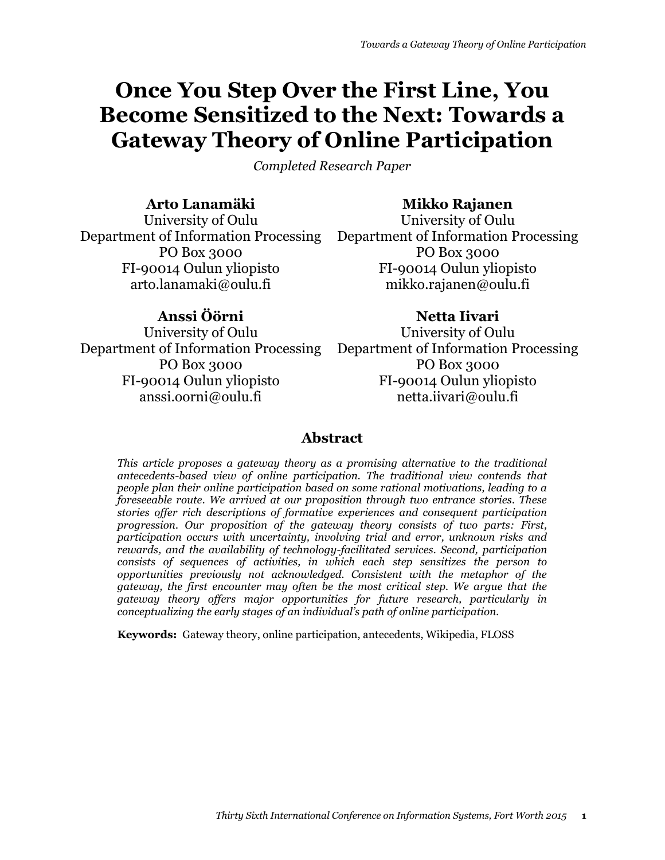# **Once You Step Over the First Line, You Become Sensitized to the Next: Towards a Gateway Theory of Online Participation**

*Completed Research Paper*

# **Arto Lanamäki**

**Mikko Rajanen**

University of Oulu Department of Information Processing Department of Information Processing PO Box 3000 FI-90014 Oulun yliopisto arto.lanamaki@oulu.fi

# **Anssi Öörni**

University of Oulu Department of Information Processing Department of Information Processing PO Box 3000 FI-90014 Oulun yliopisto anssi.oorni@oulu.fi

University of Oulu PO Box 3000 FI-90014 Oulun yliopisto mikko.rajanen@oulu.fi

# **Netta Iivari**

University of Oulu PO Box 3000 FI-90014 Oulun yliopisto netta.iivari@oulu.fi

# **Abstract**

*This article proposes a gateway theory as a promising alternative to the traditional antecedents-based view of online participation. The traditional view contends that people plan their online participation based on some rational motivations, leading to a foreseeable route. We arrived at our proposition through two entrance stories. These stories offer rich descriptions of formative experiences and consequent participation progression. Our proposition of the gateway theory consists of two parts: First, participation occurs with uncertainty, involving trial and error, unknown risks and rewards, and the availability of technology-facilitated services. Second, participation consists of sequences of activities, in which each step sensitizes the person to opportunities previously not acknowledged. Consistent with the metaphor of the gateway, the first encounter may often be the most critical step. We argue that the gateway theory offers major opportunities for future research, particularly in conceptualizing the early stages of an individual's path of online participation.*

**Keywords:** Gateway theory, online participation, antecedents, Wikipedia, FLOSS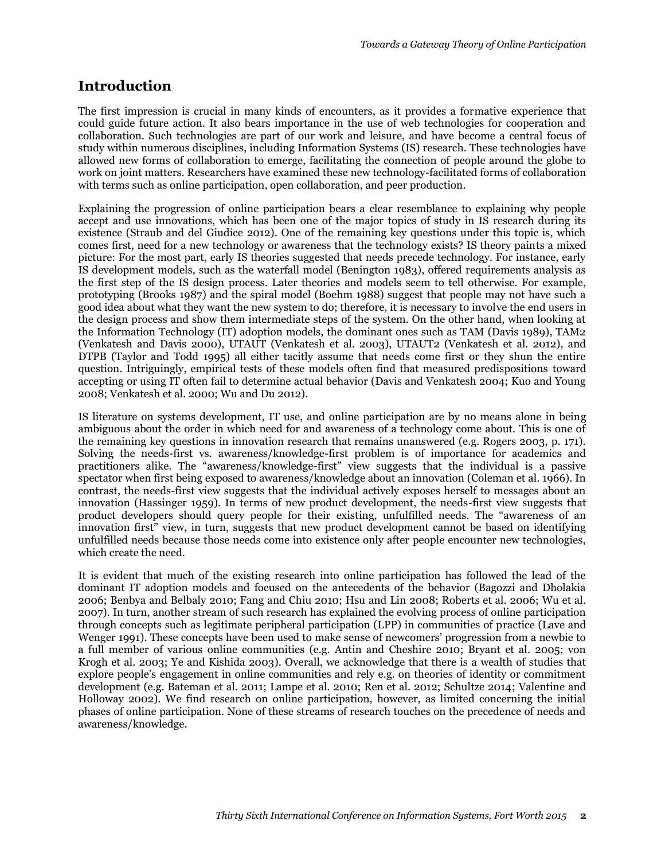## **Introduction**

The first impression is crucial in many kinds of encounters, as it provides a formative experience that could guide future action. It also bears importance in the use of web technologies for cooperation and collaboration. Such technologies are part of our work and leisure, and have become a central focus of study within numerous disciplines, including Information Systems (IS) research. These technologies have allowed new forms of collaboration to emerge, facilitating the connection of people around the globe to work on joint matters. Researchers have examined these new technology-facilitated forms of collaboration with terms such as online participation, open collaboration, and peer production.

Explaining the progression of online participation bears a clear resemblance to explaining why people accept and use innovations, which has been one of the major topics of study in IS research during its existence (Straub and del Giudice 2012). One of the remaining key questions under this topic is, which comes first, need for a new technology or awareness that the technology exists? IS theory paints a mixed picture: For the most part, early IS theories suggested that needs precede technology. For instance, early IS development models, such as the waterfall model (Benington 1983), offered requirements analysis as the first step of the IS design process. Later theories and models seem to tell otherwise. For example, prototyping (Brooks 1987) and the spiral model (Boehm 1988) suggest that people may not have such a good idea about what they want the new system to do; therefore, it is necessary to involve the end users in the design process and show them intermediate steps of the system. On the other hand, when looking at the Information Technology (IT) adoption models, the dominant ones such as TAM (Davis 1989), TAM2 (Venkatesh and Davis 2000), UTAUT (Venkatesh et al. 2003), UTAUT2 (Venkatesh et al. 2012), and DTPB (Taylor and Todd 1995) all either tacitly assume that needs come first or they shun the entire question. Intriguingly, empirical tests of these models often find that measured predispositions toward accepting or using IT often fail to determine actual behavior (Davis and Venkatesh 2004; Kuo and Young 2008; Venkatesh et al. 2000; Wu and Du 2012).

IS literature on systems development, IT use, and online participation are by no means alone in being ambiguous about the order in which need for and awareness of a technology come about. This is one of the remaining key questions in innovation research that remains unanswered (e.g. Rogers 2003, p. 171). Solving the needs-first vs. awareness/knowledge-first problem is of importance for academics and practitioners alike. The "awareness/knowledge-first" view suggests that the individual is a passive spectator when first being exposed to awareness/knowledge about an innovation (Coleman et al. 1966). In contrast, the needs-first view suggests that the individual actively exposes herself to messages about an innovation (Hassinger 1959). In terms of new product development, the needs-first view suggests that product developers should query people for their existing, unfulfilled needs. The "awareness of an innovation first" view, in turn, suggests that new product development cannot be based on identifying unfulfilled needs because those needs come into existence only after people encounter new technologies, which create the need.

It is evident that much of the existing research into online participation has followed the lead of the dominant IT adoption models and focused on the antecedents of the behavior (Bagozzi and Dholakia 2006; Benbya and Belbaly 2010; Fang and Chiu 2010; Hsu and Lin 2008; Roberts et al. 2006; Wu et al. 2007). In turn, another stream of such research has explained the evolving process of online participation through concepts such as legitimate peripheral participation (LPP) in communities of practice (Lave and Wenger 1991). These concepts have been used to make sense of newcomers' progression from a newbie to a full member of various online communities (e.g. Antin and Cheshire 2010; Bryant et al. 2005; von Krogh et al. 2003; Ye and Kishida 2003). Overall, we acknowledge that there is a wealth of studies that explore people's engagement in online communities and rely e.g. on theories of identity or commitment development (e.g. Bateman et al. 2011; Lampe et al. 2010; Ren et al. 2012; Schultze 2014; Valentine and Holloway 2002). We find research on online participation, however, as limited concerning the initial phases of online participation. None of these streams of research touches on the precedence of needs and awareness/knowledge.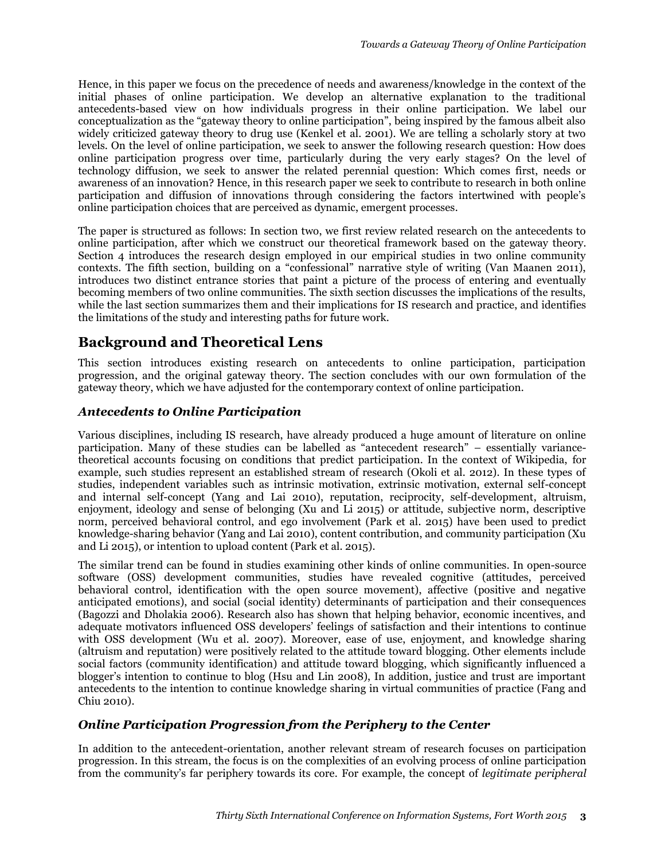Hence, in this paper we focus on the precedence of needs and awareness/knowledge in the context of the initial phases of online participation. We develop an alternative explanation to the traditional antecedents-based view on how individuals progress in their online participation. We label our conceptualization as the "gateway theory to online participation", being inspired by the famous albeit also widely criticized gateway theory to drug use (Kenkel et al. 2001). We are telling a scholarly story at two levels. On the level of online participation, we seek to answer the following research question: How does online participation progress over time, particularly during the very early stages? On the level of technology diffusion, we seek to answer the related perennial question: Which comes first, needs or awareness of an innovation? Hence, in this research paper we seek to contribute to research in both online participation and diffusion of innovations through considering the factors intertwined with people's online participation choices that are perceived as dynamic, emergent processes.

The paper is structured as follows: In section two, we first review related research on the antecedents to online participation, after which we construct our theoretical framework based on the gateway theory. Section 4 introduces the research design employed in our empirical studies in two online community contexts. The fifth section, building on a "confessional" narrative style of writing (Van Maanen 2011), introduces two distinct entrance stories that paint a picture of the process of entering and eventually becoming members of two online communities. The sixth section discusses the implications of the results, while the last section summarizes them and their implications for IS research and practice, and identifies the limitations of the study and interesting paths for future work.

# **Background and Theoretical Lens**

This section introduces existing research on antecedents to online participation, participation progression, and the original gateway theory. The section concludes with our own formulation of the gateway theory, which we have adjusted for the contemporary context of online participation.

### *Antecedents to Online Participation*

Various disciplines, including IS research, have already produced a huge amount of literature on online participation. Many of these studies can be labelled as "antecedent research" – essentially variancetheoretical accounts focusing on conditions that predict participation. In the context of Wikipedia, for example, such studies represent an established stream of research (Okoli et al. 2012). In these types of studies, independent variables such as intrinsic motivation, extrinsic motivation, external self-concept and internal self-concept (Yang and Lai 2010), reputation, reciprocity, self-development, altruism, enjoyment, ideology and sense of belonging (Xu and Li 2015) or attitude, subjective norm, descriptive norm, perceived behavioral control, and ego involvement (Park et al. 2015) have been used to predict knowledge-sharing behavior (Yang and Lai 2010), content contribution, and community participation (Xu and Li 2015), or intention to upload content (Park et al. 2015).

The similar trend can be found in studies examining other kinds of online communities. In open-source software (OSS) development communities, studies have revealed cognitive (attitudes, perceived behavioral control, identification with the open source movement), affective (positive and negative anticipated emotions), and social (social identity) determinants of participation and their consequences (Bagozzi and Dholakia 2006). Research also has shown that helping behavior, economic incentives, and adequate motivators influenced OSS developers' feelings of satisfaction and their intentions to continue with OSS development (Wu et al. 2007). Moreover, ease of use, enjoyment, and knowledge sharing (altruism and reputation) were positively related to the attitude toward blogging. Other elements include social factors (community identification) and attitude toward blogging, which significantly influenced a blogger's intention to continue to blog (Hsu and Lin 2008), In addition, justice and trust are important antecedents to the intention to continue knowledge sharing in virtual communities of practice (Fang and Chiu 2010).

#### *Online Participation Progression from the Periphery to the Center*

In addition to the antecedent-orientation, another relevant stream of research focuses on participation progression. In this stream, the focus is on the complexities of an evolving process of online participation from the community's far periphery towards its core. For example, the concept of *legitimate peripheral*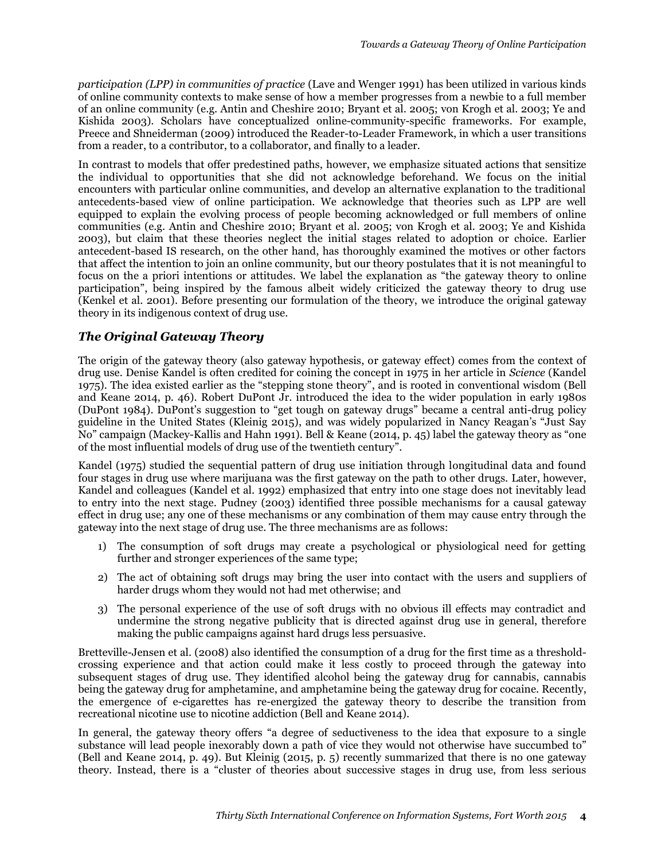*participation (LPP) in communities of practice* (Lave and Wenger 1991) has been utilized in various kinds of online community contexts to make sense of how a member progresses from a newbie to a full member of an online community (e.g. Antin and Cheshire 2010; Bryant et al. 2005; von Krogh et al. 2003; Ye and Kishida 2003). Scholars have conceptualized online-community-specific frameworks. For example, Preece and Shneiderman (2009) introduced the Reader-to-Leader Framework, in which a user transitions from a reader, to a contributor, to a collaborator, and finally to a leader.

In contrast to models that offer predestined paths, however, we emphasize situated actions that sensitize the individual to opportunities that she did not acknowledge beforehand. We focus on the initial encounters with particular online communities, and develop an alternative explanation to the traditional antecedents-based view of online participation. We acknowledge that theories such as LPP are well equipped to explain the evolving process of people becoming acknowledged or full members of online communities (e.g. Antin and Cheshire 2010; Bryant et al. 2005; von Krogh et al. 2003; Ye and Kishida 2003), but claim that these theories neglect the initial stages related to adoption or choice. Earlier antecedent-based IS research, on the other hand, has thoroughly examined the motives or other factors that affect the intention to join an online community, but our theory postulates that it is not meaningful to focus on the a priori intentions or attitudes. We label the explanation as "the gateway theory to online participation", being inspired by the famous albeit widely criticized the gateway theory to drug use (Kenkel et al. 2001). Before presenting our formulation of the theory, we introduce the original gateway theory in its indigenous context of drug use.

## *The Original Gateway Theory*

The origin of the gateway theory (also gateway hypothesis, or gateway effect) comes from the context of drug use. Denise Kandel is often credited for coining the concept in 1975 in her article in *Science* (Kandel 1975). The idea existed earlier as the "stepping stone theory", and is rooted in conventional wisdom (Bell and Keane 2014, p. 46). Robert DuPont Jr. introduced the idea to the wider population in early 1980s (DuPont 1984). DuPont's suggestion to "get tough on gateway drugs" became a central anti-drug policy guideline in the United States (Kleinig 2015), and was widely popularized in Nancy Reagan's "Just Say No" campaign (Mackey-Kallis and Hahn 1991). Bell & Keane (2014, p. 45) label the gateway theory as "one of the most influential models of drug use of the twentieth century".

Kandel (1975) studied the sequential pattern of drug use initiation through longitudinal data and found four stages in drug use where marijuana was the first gateway on the path to other drugs. Later, however, Kandel and colleagues (Kandel et al. 1992) emphasized that entry into one stage does not inevitably lead to entry into the next stage. Pudney (2003) identified three possible mechanisms for a causal gateway effect in drug use; any one of these mechanisms or any combination of them may cause entry through the gateway into the next stage of drug use. The three mechanisms are as follows:

- 1) The consumption of soft drugs may create a psychological or physiological need for getting further and stronger experiences of the same type;
- 2) The act of obtaining soft drugs may bring the user into contact with the users and suppliers of harder drugs whom they would not had met otherwise; and
- 3) The personal experience of the use of soft drugs with no obvious ill effects may contradict and undermine the strong negative publicity that is directed against drug use in general, therefore making the public campaigns against hard drugs less persuasive.

Bretteville-Jensen et al. (2008) also identified the consumption of a drug for the first time as a thresholdcrossing experience and that action could make it less costly to proceed through the gateway into subsequent stages of drug use. They identified alcohol being the gateway drug for cannabis, cannabis being the gateway drug for amphetamine, and amphetamine being the gateway drug for cocaine. Recently, the emergence of e-cigarettes has re-energized the gateway theory to describe the transition from recreational nicotine use to nicotine addiction (Bell and Keane 2014).

In general, the gateway theory offers "a degree of seductiveness to the idea that exposure to a single substance will lead people inexorably down a path of vice they would not otherwise have succumbed to" (Bell and Keane 2014, p. 49). But Kleinig (2015, p. 5) recently summarized that there is no one gateway theory. Instead, there is a "cluster of theories about successive stages in drug use, from less serious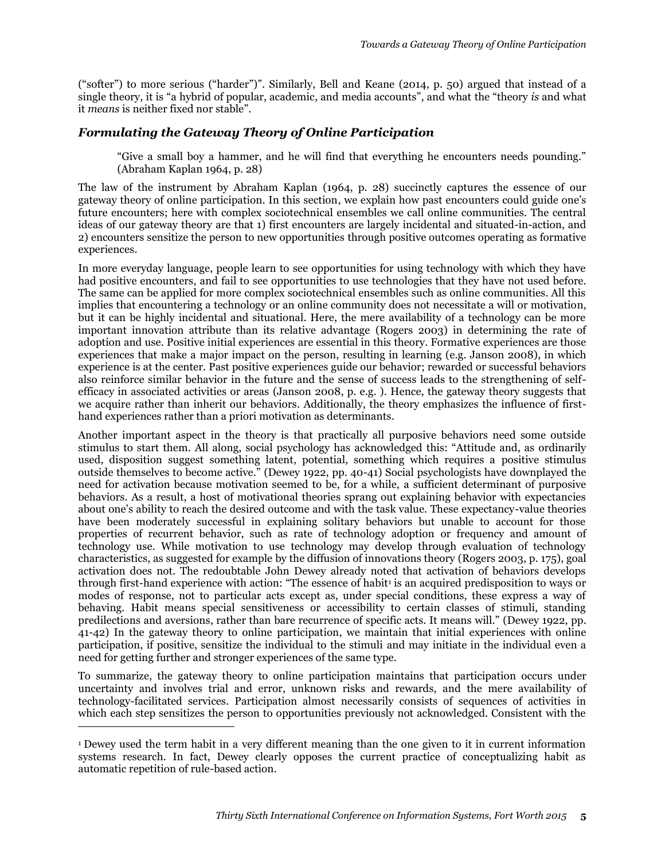("softer") to more serious ("harder")". Similarly, Bell and Keane (2014, p. 50) argued that instead of a single theory, it is "a hybrid of popular, academic, and media accounts", and what the "theory *is* and what it *means* is neither fixed nor stable".

#### *Formulating the Gateway Theory of Online Participation*

"Give a small boy a hammer, and he will find that everything he encounters needs pounding." (Abraham Kaplan 1964, p. 28)

The law of the instrument by Abraham Kaplan (1964, p. 28) succinctly captures the essence of our gateway theory of online participation. In this section, we explain how past encounters could guide one's future encounters; here with complex sociotechnical ensembles we call online communities. The central ideas of our gateway theory are that 1) first encounters are largely incidental and situated-in-action, and 2) encounters sensitize the person to new opportunities through positive outcomes operating as formative experiences.

In more everyday language, people learn to see opportunities for using technology with which they have had positive encounters, and fail to see opportunities to use technologies that they have not used before. The same can be applied for more complex sociotechnical ensembles such as online communities. All this implies that encountering a technology or an online community does not necessitate a will or motivation, but it can be highly incidental and situational. Here, the mere availability of a technology can be more important innovation attribute than its relative advantage (Rogers 2003) in determining the rate of adoption and use. Positive initial experiences are essential in this theory. Formative experiences are those experiences that make a major impact on the person, resulting in learning (e.g. Janson 2008), in which experience is at the center. Past positive experiences guide our behavior; rewarded or successful behaviors also reinforce similar behavior in the future and the sense of success leads to the strengthening of selfefficacy in associated activities or areas (Janson 2008, p. e.g. ). Hence, the gateway theory suggests that we acquire rather than inherit our behaviors. Additionally, the theory emphasizes the influence of firsthand experiences rather than a priori motivation as determinants.

Another important aspect in the theory is that practically all purposive behaviors need some outside stimulus to start them. All along, social psychology has acknowledged this: "Attitude and, as ordinarily used, disposition suggest something latent, potential, something which requires a positive stimulus outside themselves to become active." (Dewey 1922, pp. 40-41) Social psychologists have downplayed the need for activation because motivation seemed to be, for a while, a sufficient determinant of purposive behaviors. As a result, a host of motivational theories sprang out explaining behavior with expectancies about one's ability to reach the desired outcome and with the task value. These expectancy-value theories have been moderately successful in explaining solitary behaviors but unable to account for those properties of recurrent behavior, such as rate of technology adoption or frequency and amount of technology use. While motivation to use technology may develop through evaluation of technology characteristics, as suggested for example by the diffusion of innovations theory (Rogers 2003, p. 175), goal activation does not. The redoubtable John Dewey already noted that activation of behaviors develops through first-hand experience with action: "The essence of habit<sup>1</sup> is an acquired predisposition to ways or modes of response, not to particular acts except as, under special conditions, these express a way of behaving. Habit means special sensitiveness or accessibility to certain classes of stimuli, standing predilections and aversions, rather than bare recurrence of specific acts. It means will." (Dewey 1922, pp. 41-42) In the gateway theory to online participation, we maintain that initial experiences with online participation, if positive, sensitize the individual to the stimuli and may initiate in the individual even a need for getting further and stronger experiences of the same type.

To summarize, the gateway theory to online participation maintains that participation occurs under uncertainty and involves trial and error, unknown risks and rewards, and the mere availability of technology-facilitated services. Participation almost necessarily consists of sequences of activities in which each step sensitizes the person to opportunities previously not acknowledged. Consistent with the

 $\overline{a}$ 

<sup>1</sup> Dewey used the term habit in a very different meaning than the one given to it in current information systems research. In fact, Dewey clearly opposes the current practice of conceptualizing habit as automatic repetition of rule-based action.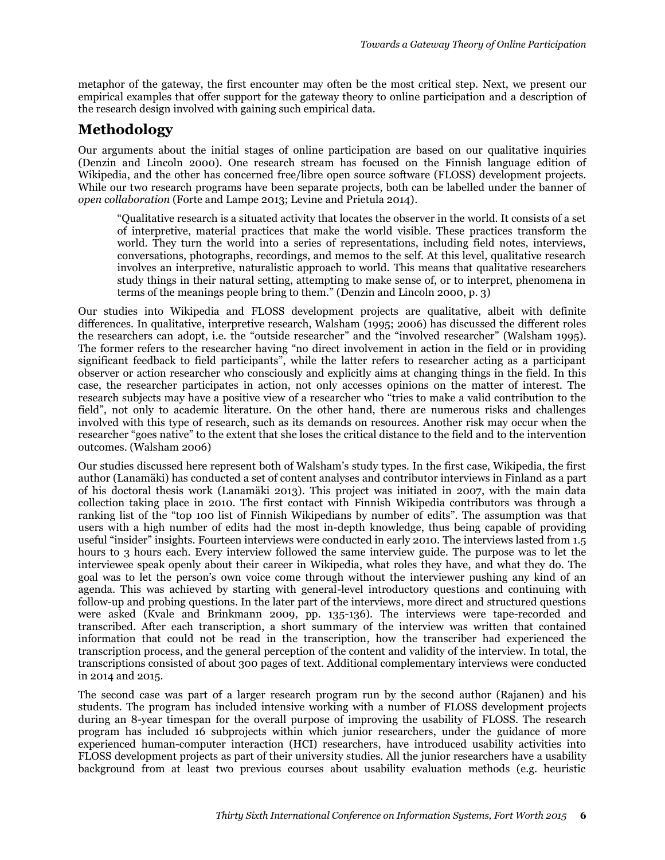metaphor of the gateway, the first encounter may often be the most critical step. Next, we present our empirical examples that offer support for the gateway theory to online participation and a description of the research design involved with gaining such empirical data.

# **Methodology**

Our arguments about the initial stages of online participation are based on our qualitative inquiries (Denzin and Lincoln 2000). One research stream has focused on the Finnish language edition of Wikipedia, and the other has concerned free/libre open source software (FLOSS) development projects. While our two research programs have been separate projects, both can be labelled under the banner of *open collaboration* (Forte and Lampe 2013; Levine and Prietula 2014).

"Qualitative research is a situated activity that locates the observer in the world. It consists of a set of interpretive, material practices that make the world visible. These practices transform the world. They turn the world into a series of representations, including field notes, interviews, conversations, photographs, recordings, and memos to the self. At this level, qualitative research involves an interpretive, naturalistic approach to world. This means that qualitative researchers study things in their natural setting, attempting to make sense of, or to interpret, phenomena in terms of the meanings people bring to them." (Denzin and Lincoln 2000, p. 3)

Our studies into Wikipedia and FLOSS development projects are qualitative, albeit with definite differences. In qualitative, interpretive research, Walsham (1995; 2006) has discussed the different roles the researchers can adopt, i.e. the "outside researcher" and the "involved researcher" (Walsham 1995). The former refers to the researcher having "no direct involvement in action in the field or in providing significant feedback to field participants", while the latter refers to researcher acting as a participant observer or action researcher who consciously and explicitly aims at changing things in the field. In this case, the researcher participates in action, not only accesses opinions on the matter of interest. The research subjects may have a positive view of a researcher who "tries to make a valid contribution to the field", not only to academic literature. On the other hand, there are numerous risks and challenges involved with this type of research, such as its demands on resources. Another risk may occur when the researcher "goes native" to the extent that she loses the critical distance to the field and to the intervention outcomes. (Walsham 2006)

Our studies discussed here represent both of Walsham's study types. In the first case, Wikipedia, the first author (Lanamäki) has conducted a set of content analyses and contributor interviews in Finland as a part of his doctoral thesis work (Lanamäki 2013). This project was initiated in 2007, with the main data collection taking place in 2010. The first contact with Finnish Wikipedia contributors was through a ranking list of the "top 100 list of Finnish Wikipedians by number of edits". The assumption was that users with a high number of edits had the most in-depth knowledge, thus being capable of providing useful "insider" insights. Fourteen interviews were conducted in early 2010. The interviews lasted from 1.5 hours to 3 hours each. Every interview followed the same interview guide. The purpose was to let the interviewee speak openly about their career in Wikipedia, what roles they have, and what they do. The goal was to let the person's own voice come through without the interviewer pushing any kind of an agenda. This was achieved by starting with general-level introductory questions and continuing with follow-up and probing questions. In the later part of the interviews, more direct and structured questions were asked (Kvale and Brinkmann 2009, pp. 135-136). The interviews were tape-recorded and transcribed. After each transcription, a short summary of the interview was written that contained information that could not be read in the transcription, how the transcriber had experienced the transcription process, and the general perception of the content and validity of the interview. In total, the transcriptions consisted of about 300 pages of text. Additional complementary interviews were conducted in 2014 and 2015.

The second case was part of a larger research program run by the second author (Rajanen) and his students. The program has included intensive working with a number of FLOSS development projects during an 8-year timespan for the overall purpose of improving the usability of FLOSS. The research program has included 16 subprojects within which junior researchers, under the guidance of more experienced human-computer interaction (HCI) researchers, have introduced usability activities into FLOSS development projects as part of their university studies. All the junior researchers have a usability background from at least two previous courses about usability evaluation methods (e.g. heuristic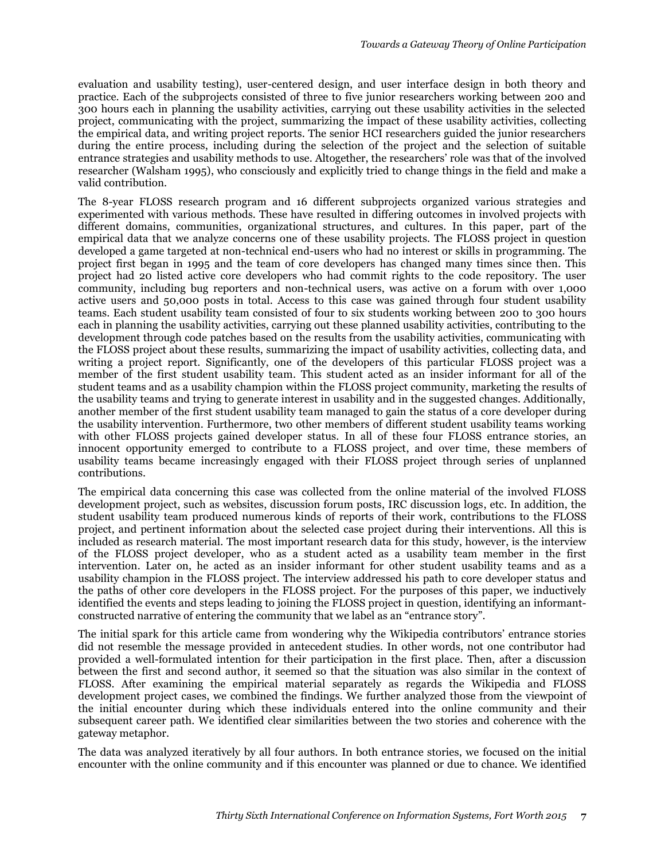evaluation and usability testing), user-centered design, and user interface design in both theory and practice. Each of the subprojects consisted of three to five junior researchers working between 200 and 300 hours each in planning the usability activities, carrying out these usability activities in the selected project, communicating with the project, summarizing the impact of these usability activities, collecting the empirical data, and writing project reports. The senior HCI researchers guided the junior researchers during the entire process, including during the selection of the project and the selection of suitable entrance strategies and usability methods to use. Altogether, the researchers' role was that of the involved researcher (Walsham 1995), who consciously and explicitly tried to change things in the field and make a valid contribution.

The 8-year FLOSS research program and 16 different subprojects organized various strategies and experimented with various methods. These have resulted in differing outcomes in involved projects with different domains, communities, organizational structures, and cultures. In this paper, part of the empirical data that we analyze concerns one of these usability projects. The FLOSS project in question developed a game targeted at non-technical end-users who had no interest or skills in programming. The project first began in 1995 and the team of core developers has changed many times since then. This project had 20 listed active core developers who had commit rights to the code repository. The user community, including bug reporters and non-technical users, was active on a forum with over 1,000 active users and 50,000 posts in total. Access to this case was gained through four student usability teams. Each student usability team consisted of four to six students working between 200 to 300 hours each in planning the usability activities, carrying out these planned usability activities, contributing to the development through code patches based on the results from the usability activities, communicating with the FLOSS project about these results, summarizing the impact of usability activities, collecting data, and writing a project report. Significantly, one of the developers of this particular FLOSS project was a member of the first student usability team. This student acted as an insider informant for all of the student teams and as a usability champion within the FLOSS project community, marketing the results of the usability teams and trying to generate interest in usability and in the suggested changes. Additionally, another member of the first student usability team managed to gain the status of a core developer during the usability intervention. Furthermore, two other members of different student usability teams working with other FLOSS projects gained developer status. In all of these four FLOSS entrance stories, an innocent opportunity emerged to contribute to a FLOSS project, and over time, these members of usability teams became increasingly engaged with their FLOSS project through series of unplanned contributions.

The empirical data concerning this case was collected from the online material of the involved FLOSS development project, such as websites, discussion forum posts, IRC discussion logs, etc. In addition, the student usability team produced numerous kinds of reports of their work, contributions to the FLOSS project, and pertinent information about the selected case project during their interventions. All this is included as research material. The most important research data for this study, however, is the interview of the FLOSS project developer, who as a student acted as a usability team member in the first intervention. Later on, he acted as an insider informant for other student usability teams and as a usability champion in the FLOSS project. The interview addressed his path to core developer status and the paths of other core developers in the FLOSS project. For the purposes of this paper, we inductively identified the events and steps leading to joining the FLOSS project in question, identifying an informantconstructed narrative of entering the community that we label as an "entrance story".

The initial spark for this article came from wondering why the Wikipedia contributors' entrance stories did not resemble the message provided in antecedent studies. In other words, not one contributor had provided a well-formulated intention for their participation in the first place. Then, after a discussion between the first and second author, it seemed so that the situation was also similar in the context of FLOSS. After examining the empirical material separately as regards the Wikipedia and FLOSS development project cases, we combined the findings. We further analyzed those from the viewpoint of the initial encounter during which these individuals entered into the online community and their subsequent career path. We identified clear similarities between the two stories and coherence with the gateway metaphor.

The data was analyzed iteratively by all four authors. In both entrance stories, we focused on the initial encounter with the online community and if this encounter was planned or due to chance. We identified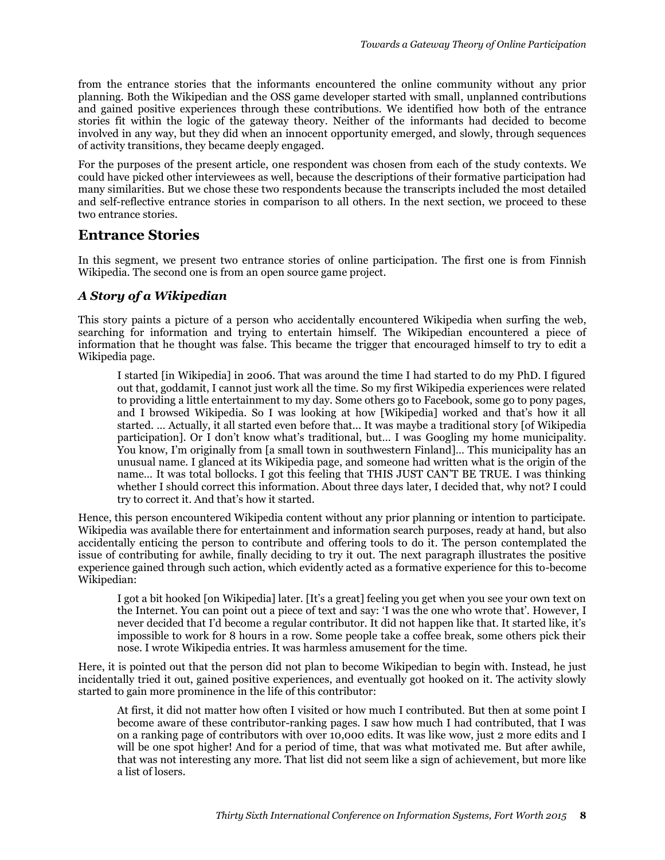from the entrance stories that the informants encountered the online community without any prior planning. Both the Wikipedian and the OSS game developer started with small, unplanned contributions and gained positive experiences through these contributions. We identified how both of the entrance stories fit within the logic of the gateway theory. Neither of the informants had decided to become involved in any way, but they did when an innocent opportunity emerged, and slowly, through sequences of activity transitions, they became deeply engaged.

For the purposes of the present article, one respondent was chosen from each of the study contexts. We could have picked other interviewees as well, because the descriptions of their formative participation had many similarities. But we chose these two respondents because the transcripts included the most detailed and self-reflective entrance stories in comparison to all others. In the next section, we proceed to these two entrance stories.

# **Entrance Stories**

In this segment, we present two entrance stories of online participation. The first one is from Finnish Wikipedia. The second one is from an open source game project.

## *A Story of a Wikipedian*

This story paints a picture of a person who accidentally encountered Wikipedia when surfing the web, searching for information and trying to entertain himself. The Wikipedian encountered a piece of information that he thought was false. This became the trigger that encouraged himself to try to edit a Wikipedia page.

I started [in Wikipedia] in 2006. That was around the time I had started to do my PhD. I figured out that, goddamit, I cannot just work all the time. So my first Wikipedia experiences were related to providing a little entertainment to my day. Some others go to Facebook, some go to pony pages, and I browsed Wikipedia. So I was looking at how [Wikipedia] worked and that's how it all started. … Actually, it all started even before that... It was maybe a traditional story [of Wikipedia participation]. Or I don't know what's traditional, but… I was Googling my home municipality. You know, I'm originally from [a small town in southwestern Finland]… This municipality has an unusual name. I glanced at its Wikipedia page, and someone had written what is the origin of the name… It was total bollocks. I got this feeling that THIS JUST CAN'T BE TRUE. I was thinking whether I should correct this information. About three days later, I decided that, why not? I could try to correct it. And that's how it started.

Hence, this person encountered Wikipedia content without any prior planning or intention to participate. Wikipedia was available there for entertainment and information search purposes, ready at hand, but also accidentally enticing the person to contribute and offering tools to do it. The person contemplated the issue of contributing for awhile, finally deciding to try it out. The next paragraph illustrates the positive experience gained through such action, which evidently acted as a formative experience for this to-become Wikipedian:

I got a bit hooked [on Wikipedia] later. [It's a great] feeling you get when you see your own text on the Internet. You can point out a piece of text and say: 'I was the one who wrote that'. However, I never decided that I'd become a regular contributor. It did not happen like that. It started like, it's impossible to work for 8 hours in a row. Some people take a coffee break, some others pick their nose. I wrote Wikipedia entries. It was harmless amusement for the time.

Here, it is pointed out that the person did not plan to become Wikipedian to begin with. Instead, he just incidentally tried it out, gained positive experiences, and eventually got hooked on it. The activity slowly started to gain more prominence in the life of this contributor:

At first, it did not matter how often I visited or how much I contributed. But then at some point I become aware of these contributor-ranking pages. I saw how much I had contributed, that I was on a ranking page of contributors with over 10,000 edits. It was like wow, just 2 more edits and I will be one spot higher! And for a period of time, that was what motivated me. But after awhile, that was not interesting any more. That list did not seem like a sign of achievement, but more like a list of losers.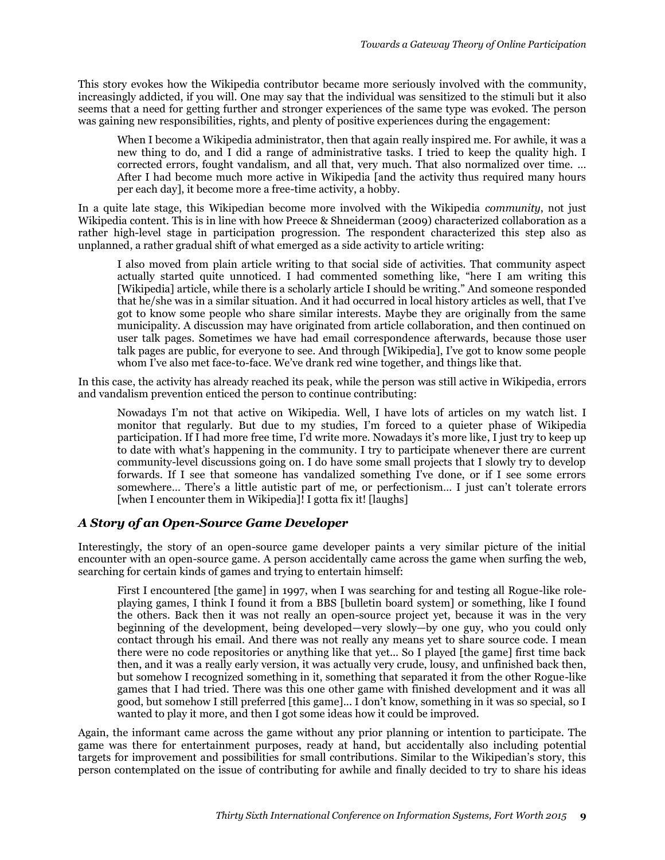This story evokes how the Wikipedia contributor became more seriously involved with the community, increasingly addicted, if you will. One may say that the individual was sensitized to the stimuli but it also seems that a need for getting further and stronger experiences of the same type was evoked. The person was gaining new responsibilities, rights, and plenty of positive experiences during the engagement:

When I become a Wikipedia administrator, then that again really inspired me. For awhile, it was a new thing to do, and I did a range of administrative tasks. I tried to keep the quality high. I corrected errors, fought vandalism, and all that, very much. That also normalized over time. … After I had become much more active in Wikipedia [and the activity thus required many hours per each day], it become more a free-time activity, a hobby.

In a quite late stage, this Wikipedian become more involved with the Wikipedia *community*, not just Wikipedia content. This is in line with how Preece & Shneiderman (2009) characterized collaboration as a rather high-level stage in participation progression. The respondent characterized this step also as unplanned, a rather gradual shift of what emerged as a side activity to article writing:

I also moved from plain article writing to that social side of activities. That community aspect actually started quite unnoticed. I had commented something like, "here I am writing this [Wikipedia] article, while there is a scholarly article I should be writing." And someone responded that he/she was in a similar situation. And it had occurred in local history articles as well, that I've got to know some people who share similar interests. Maybe they are originally from the same municipality. A discussion may have originated from article collaboration, and then continued on user talk pages. Sometimes we have had email correspondence afterwards, because those user talk pages are public, for everyone to see. And through [Wikipedia], I've got to know some people whom I've also met face-to-face. We've drank red wine together, and things like that.

In this case, the activity has already reached its peak, while the person was still active in Wikipedia, errors and vandalism prevention enticed the person to continue contributing:

Nowadays I'm not that active on Wikipedia. Well, I have lots of articles on my watch list. I monitor that regularly. But due to my studies, I'm forced to a quieter phase of Wikipedia participation. If I had more free time, I'd write more. Nowadays it's more like, I just try to keep up to date with what's happening in the community. I try to participate whenever there are current community-level discussions going on. I do have some small projects that I slowly try to develop forwards. If I see that someone has vandalized something I've done, or if I see some errors somewhere… There's a little autistic part of me, or perfectionism… I just can't tolerate errors [when I encounter them in Wikipedia]! I gotta fix it! [laughs]

#### *A Story of an Open-Source Game Developer*

Interestingly, the story of an open-source game developer paints a very similar picture of the initial encounter with an open-source game. A person accidentally came across the game when surfing the web, searching for certain kinds of games and trying to entertain himself:

First I encountered [the game] in 1997, when I was searching for and testing all Rogue-like roleplaying games, I think I found it from a BBS [bulletin board system] or something, like I found the others. Back then it was not really an open-source project yet, because it was in the very beginning of the development, being developed—very slowly—by one guy, who you could only contact through his email. And there was not really any means yet to share source code. I mean there were no code repositories or anything like that yet... So I played [the game] first time back then, and it was a really early version, it was actually very crude, lousy, and unfinished back then, but somehow I recognized something in it, something that separated it from the other Rogue-like games that I had tried. There was this one other game with finished development and it was all good, but somehow I still preferred [this game]... I don't know, something in it was so special, so I wanted to play it more, and then I got some ideas how it could be improved.

Again, the informant came across the game without any prior planning or intention to participate. The game was there for entertainment purposes, ready at hand, but accidentally also including potential targets for improvement and possibilities for small contributions. Similar to the Wikipedian's story, this person contemplated on the issue of contributing for awhile and finally decided to try to share his ideas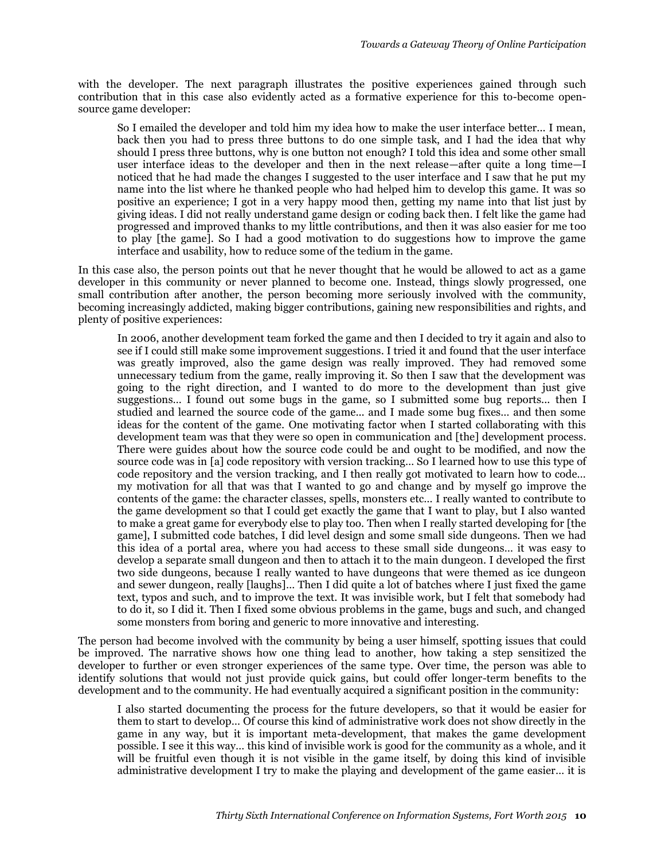with the developer. The next paragraph illustrates the positive experiences gained through such contribution that in this case also evidently acted as a formative experience for this to-become opensource game developer:

So I emailed the developer and told him my idea how to make the user interface better... I mean, back then you had to press three buttons to do one simple task, and I had the idea that why should I press three buttons, why is one button not enough? I told this idea and some other small user interface ideas to the developer and then in the next release—after quite a long time—I noticed that he had made the changes I suggested to the user interface and I saw that he put my name into the list where he thanked people who had helped him to develop this game. It was so positive an experience; I got in a very happy mood then, getting my name into that list just by giving ideas. I did not really understand game design or coding back then. I felt like the game had progressed and improved thanks to my little contributions, and then it was also easier for me too to play [the game]. So I had a good motivation to do suggestions how to improve the game interface and usability, how to reduce some of the tedium in the game.

In this case also, the person points out that he never thought that he would be allowed to act as a game developer in this community or never planned to become one. Instead, things slowly progressed, one small contribution after another, the person becoming more seriously involved with the community, becoming increasingly addicted, making bigger contributions, gaining new responsibilities and rights, and plenty of positive experiences:

In 2006, another development team forked the game and then I decided to try it again and also to see if I could still make some improvement suggestions. I tried it and found that the user interface was greatly improved, also the game design was really improved. They had removed some unnecessary tedium from the game, really improving it. So then I saw that the development was going to the right direction, and I wanted to do more to the development than just give suggestions… I found out some bugs in the game, so I submitted some bug reports... then I studied and learned the source code of the game... and I made some bug fixes… and then some ideas for the content of the game. One motivating factor when I started collaborating with this development team was that they were so open in communication and [the] development process. There were guides about how the source code could be and ought to be modified, and now the source code was in [a] code repository with version tracking… So I learned how to use this type of code repository and the version tracking, and I then really got motivated to learn how to code… my motivation for all that was that I wanted to go and change and by myself go improve the contents of the game: the character classes, spells, monsters etc… I really wanted to contribute to the game development so that I could get exactly the game that I want to play, but I also wanted to make a great game for everybody else to play too. Then when I really started developing for [the game], I submitted code batches, I did level design and some small side dungeons. Then we had this idea of a portal area, where you had access to these small side dungeons… it was easy to develop a separate small dungeon and then to attach it to the main dungeon. I developed the first two side dungeons, because I really wanted to have dungeons that were themed as ice dungeon and sewer dungeon, really [laughs]… Then I did quite a lot of batches where I just fixed the game text, typos and such, and to improve the text. It was invisible work, but I felt that somebody had to do it, so I did it. Then I fixed some obvious problems in the game, bugs and such, and changed some monsters from boring and generic to more innovative and interesting.

The person had become involved with the community by being a user himself, spotting issues that could be improved. The narrative shows how one thing lead to another, how taking a step sensitized the developer to further or even stronger experiences of the same type. Over time, the person was able to identify solutions that would not just provide quick gains, but could offer longer-term benefits to the development and to the community. He had eventually acquired a significant position in the community:

I also started documenting the process for the future developers, so that it would be easier for them to start to develop… Of course this kind of administrative work does not show directly in the game in any way, but it is important meta-development, that makes the game development possible. I see it this way… this kind of invisible work is good for the community as a whole, and it will be fruitful even though it is not visible in the game itself, by doing this kind of invisible administrative development I try to make the playing and development of the game easier… it is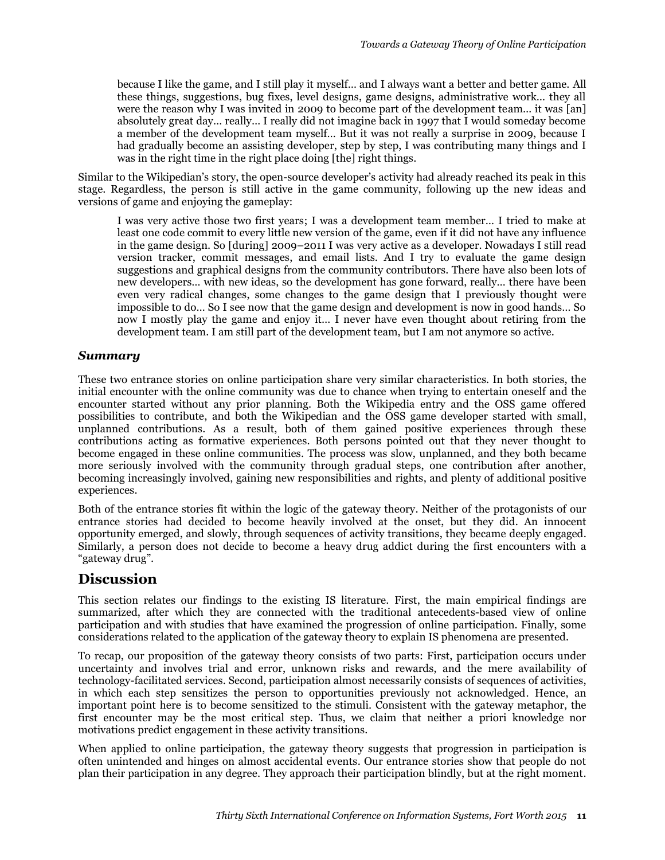because I like the game, and I still play it myself… and I always want a better and better game. All these things, suggestions, bug fixes, level designs, game designs, administrative work… they all were the reason why I was invited in 2009 to become part of the development team… it was [an] absolutely great day… really… I really did not imagine back in 1997 that I would someday become a member of the development team myself… But it was not really a surprise in 2009, because I had gradually become an assisting developer, step by step, I was contributing many things and I was in the right time in the right place doing [the] right things.

Similar to the Wikipedian's story, the open-source developer's activity had already reached its peak in this stage. Regardless, the person is still active in the game community, following up the new ideas and versions of game and enjoying the gameplay:

I was very active those two first years; I was a development team member… I tried to make at least one code commit to every little new version of the game, even if it did not have any influence in the game design. So [during] 2009–2011 I was very active as a developer. Nowadays I still read version tracker, commit messages, and email lists. And I try to evaluate the game design suggestions and graphical designs from the community contributors. There have also been lots of new developers… with new ideas, so the development has gone forward, really… there have been even very radical changes, some changes to the game design that I previously thought were impossible to do… So I see now that the game design and development is now in good hands… So now I mostly play the game and enjoy it… I never have even thought about retiring from the development team. I am still part of the development team, but I am not anymore so active.

#### *Summary*

These two entrance stories on online participation share very similar characteristics. In both stories, the initial encounter with the online community was due to chance when trying to entertain oneself and the encounter started without any prior planning. Both the Wikipedia entry and the OSS game offered possibilities to contribute, and both the Wikipedian and the OSS game developer started with small, unplanned contributions. As a result, both of them gained positive experiences through these contributions acting as formative experiences. Both persons pointed out that they never thought to become engaged in these online communities. The process was slow, unplanned, and they both became more seriously involved with the community through gradual steps, one contribution after another, becoming increasingly involved, gaining new responsibilities and rights, and plenty of additional positive experiences.

Both of the entrance stories fit within the logic of the gateway theory. Neither of the protagonists of our entrance stories had decided to become heavily involved at the onset, but they did. An innocent opportunity emerged, and slowly, through sequences of activity transitions, they became deeply engaged. Similarly, a person does not decide to become a heavy drug addict during the first encounters with a "gateway drug".

# **Discussion**

This section relates our findings to the existing IS literature. First, the main empirical findings are summarized, after which they are connected with the traditional antecedents-based view of online participation and with studies that have examined the progression of online participation. Finally, some considerations related to the application of the gateway theory to explain IS phenomena are presented.

To recap, our proposition of the gateway theory consists of two parts: First, participation occurs under uncertainty and involves trial and error, unknown risks and rewards, and the mere availability of technology-facilitated services. Second, participation almost necessarily consists of sequences of activities, in which each step sensitizes the person to opportunities previously not acknowledged. Hence, an important point here is to become sensitized to the stimuli. Consistent with the gateway metaphor, the first encounter may be the most critical step. Thus, we claim that neither a priori knowledge nor motivations predict engagement in these activity transitions.

When applied to online participation, the gateway theory suggests that progression in participation is often unintended and hinges on almost accidental events. Our entrance stories show that people do not plan their participation in any degree. They approach their participation blindly, but at the right moment.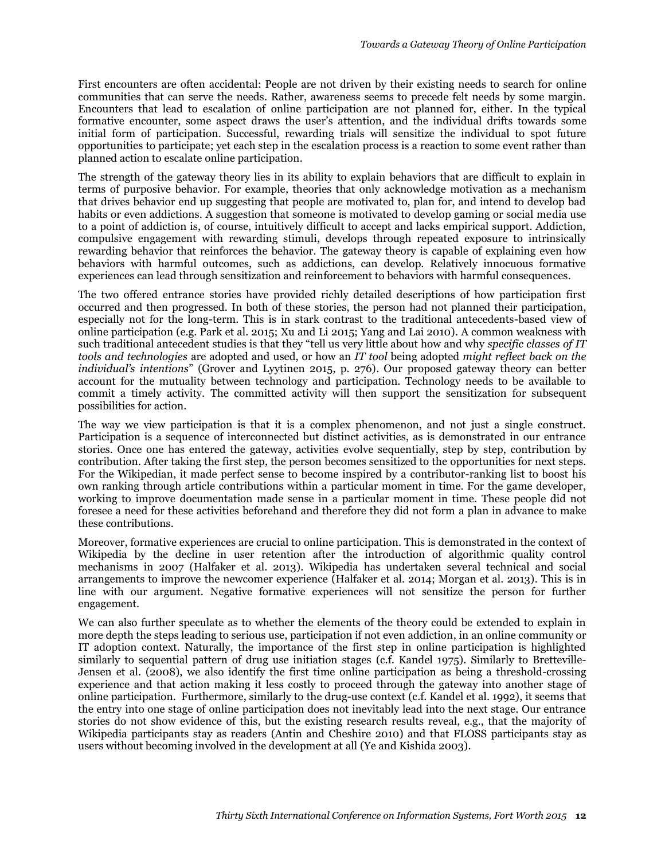First encounters are often accidental: People are not driven by their existing needs to search for online communities that can serve the needs. Rather, awareness seems to precede felt needs by some margin. Encounters that lead to escalation of online participation are not planned for, either. In the typical formative encounter, some aspect draws the user's attention, and the individual drifts towards some initial form of participation. Successful, rewarding trials will sensitize the individual to spot future opportunities to participate; yet each step in the escalation process is a reaction to some event rather than planned action to escalate online participation.

The strength of the gateway theory lies in its ability to explain behaviors that are difficult to explain in terms of purposive behavior. For example, theories that only acknowledge motivation as a mechanism that drives behavior end up suggesting that people are motivated to, plan for, and intend to develop bad habits or even addictions. A suggestion that someone is motivated to develop gaming or social media use to a point of addiction is, of course, intuitively difficult to accept and lacks empirical support. Addiction, compulsive engagement with rewarding stimuli, develops through repeated exposure to intrinsically rewarding behavior that reinforces the behavior. The gateway theory is capable of explaining even how behaviors with harmful outcomes, such as addictions, can develop. Relatively innocuous formative experiences can lead through sensitization and reinforcement to behaviors with harmful consequences.

The two offered entrance stories have provided richly detailed descriptions of how participation first occurred and then progressed. In both of these stories, the person had not planned their participation, especially not for the long-term. This is in stark contrast to the traditional antecedents-based view of online participation (e.g. Park et al. 2015; Xu and Li 2015; Yang and Lai 2010). A common weakness with such traditional antecedent studies is that they "tell us very little about how and why *specific classes of IT tools and technologies* are adopted and used, or how an *IT tool* being adopted *might reflect back on the individual's intentions*" (Grover and Lyytinen 2015, p. 276). Our proposed gateway theory can better account for the mutuality between technology and participation. Technology needs to be available to commit a timely activity. The committed activity will then support the sensitization for subsequent possibilities for action.

The way we view participation is that it is a complex phenomenon, and not just a single construct. Participation is a sequence of interconnected but distinct activities, as is demonstrated in our entrance stories. Once one has entered the gateway, activities evolve sequentially, step by step, contribution by contribution. After taking the first step, the person becomes sensitized to the opportunities for next steps. For the Wikipedian, it made perfect sense to become inspired by a contributor-ranking list to boost his own ranking through article contributions within a particular moment in time. For the game developer, working to improve documentation made sense in a particular moment in time. These people did not foresee a need for these activities beforehand and therefore they did not form a plan in advance to make these contributions.

Moreover, formative experiences are crucial to online participation. This is demonstrated in the context of Wikipedia by the decline in user retention after the introduction of algorithmic quality control mechanisms in 2007 (Halfaker et al. 2013). Wikipedia has undertaken several technical and social arrangements to improve the newcomer experience (Halfaker et al. 2014; Morgan et al. 2013). This is in line with our argument. Negative formative experiences will not sensitize the person for further engagement.

We can also further speculate as to whether the elements of the theory could be extended to explain in more depth the steps leading to serious use, participation if not even addiction, in an online community or IT adoption context. Naturally, the importance of the first step in online participation is highlighted similarly to sequential pattern of drug use initiation stages (c.f. Kandel 1975). Similarly to Bretteville-Jensen et al. (2008), we also identify the first time online participation as being a threshold-crossing experience and that action making it less costly to proceed through the gateway into another stage of online participation. Furthermore, similarly to the drug-use context (c.f. Kandel et al. 1992), it seems that the entry into one stage of online participation does not inevitably lead into the next stage. Our entrance stories do not show evidence of this, but the existing research results reveal, e.g., that the majority of Wikipedia participants stay as readers (Antin and Cheshire 2010) and that FLOSS participants stay as users without becoming involved in the development at all (Ye and Kishida 2003).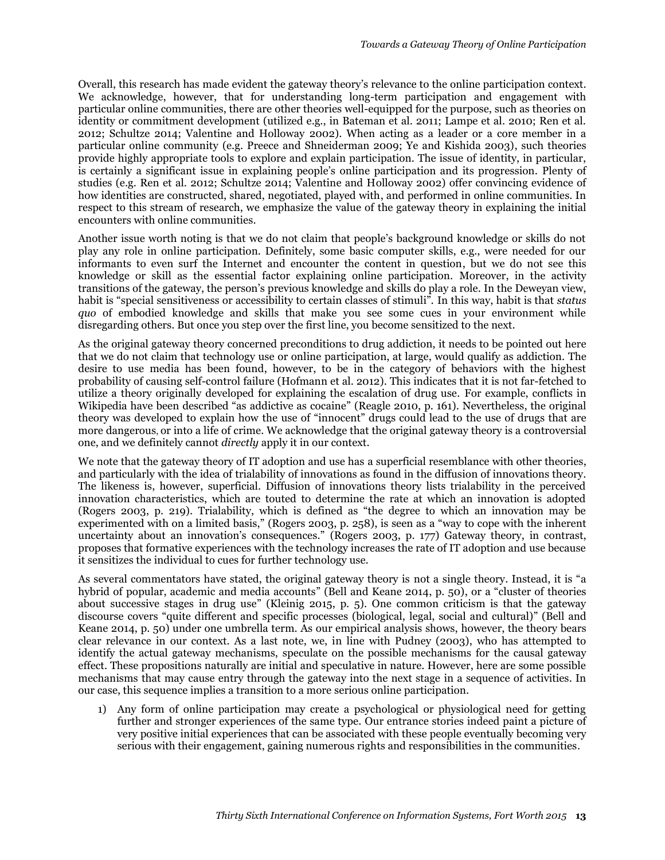Overall, this research has made evident the gateway theory's relevance to the online participation context. We acknowledge, however, that for understanding long-term participation and engagement with particular online communities, there are other theories well-equipped for the purpose, such as theories on identity or commitment development (utilized e.g., in Bateman et al. 2011; Lampe et al. 2010; Ren et al. 2012; Schultze 2014; Valentine and Holloway 2002). When acting as a leader or a core member in a particular online community (e.g. Preece and Shneiderman 2009; Ye and Kishida 2003), such theories provide highly appropriate tools to explore and explain participation. The issue of identity, in particular, is certainly a significant issue in explaining people's online participation and its progression. Plenty of studies (e.g. Ren et al. 2012; Schultze 2014; Valentine and Holloway 2002) offer convincing evidence of how identities are constructed, shared, negotiated, played with, and performed in online communities. In respect to this stream of research, we emphasize the value of the gateway theory in explaining the initial encounters with online communities.

Another issue worth noting is that we do not claim that people's background knowledge or skills do not play any role in online participation. Definitely, some basic computer skills, e.g., were needed for our informants to even surf the Internet and encounter the content in question, but we do not see this knowledge or skill as the essential factor explaining online participation. Moreover, in the activity transitions of the gateway, the person's previous knowledge and skills do play a role. In the Deweyan view, habit is "special sensitiveness or accessibility to certain classes of stimuli". In this way, habit is that *status quo* of embodied knowledge and skills that make you see some cues in your environment while disregarding others. But once you step over the first line, you become sensitized to the next.

As the original gateway theory concerned preconditions to drug addiction, it needs to be pointed out here that we do not claim that technology use or online participation, at large, would qualify as addiction. The desire to use media has been found, however, to be in the category of behaviors with the highest probability of causing self-control failure (Hofmann et al. 2012). This indicates that it is not far-fetched to utilize a theory originally developed for explaining the escalation of drug use. For example, conflicts in Wikipedia have been described "as addictive as cocaine" (Reagle 2010, p. 161). Nevertheless, the original theory was developed to explain how the use of "innocent" drugs could lead to the use of drugs that are more dangerous, or into a life of crime. We acknowledge that the original gateway theory is a controversial one, and we definitely cannot *directly* apply it in our context.

We note that the gateway theory of IT adoption and use has a superficial resemblance with other theories, and particularly with the idea of trialability of innovations as found in the diffusion of innovations theory. The likeness is, however, superficial. Diffusion of innovations theory lists trialability in the perceived innovation characteristics, which are touted to determine the rate at which an innovation is adopted (Rogers 2003, p. 219). Trialability, which is defined as "the degree to which an innovation may be experimented with on a limited basis," (Rogers 2003, p. 258), is seen as a "way to cope with the inherent uncertainty about an innovation's consequences." (Rogers 2003, p. 177) Gateway theory, in contrast, proposes that formative experiences with the technology increases the rate of IT adoption and use because it sensitizes the individual to cues for further technology use.

As several commentators have stated, the original gateway theory is not a single theory. Instead, it is "a hybrid of popular, academic and media accounts" (Bell and Keane 2014, p. 50), or a "cluster of theories about successive stages in drug use" (Kleinig 2015, p. 5). One common criticism is that the gateway discourse covers "quite different and specific processes (biological, legal, social and cultural)" (Bell and Keane 2014, p. 50) under one umbrella term. As our empirical analysis shows, however, the theory bears clear relevance in our context. As a last note, we, in line with Pudney (2003), who has attempted to identify the actual gateway mechanisms, speculate on the possible mechanisms for the causal gateway effect. These propositions naturally are initial and speculative in nature. However, here are some possible mechanisms that may cause entry through the gateway into the next stage in a sequence of activities. In our case, this sequence implies a transition to a more serious online participation.

1) Any form of online participation may create a psychological or physiological need for getting further and stronger experiences of the same type. Our entrance stories indeed paint a picture of very positive initial experiences that can be associated with these people eventually becoming very serious with their engagement, gaining numerous rights and responsibilities in the communities.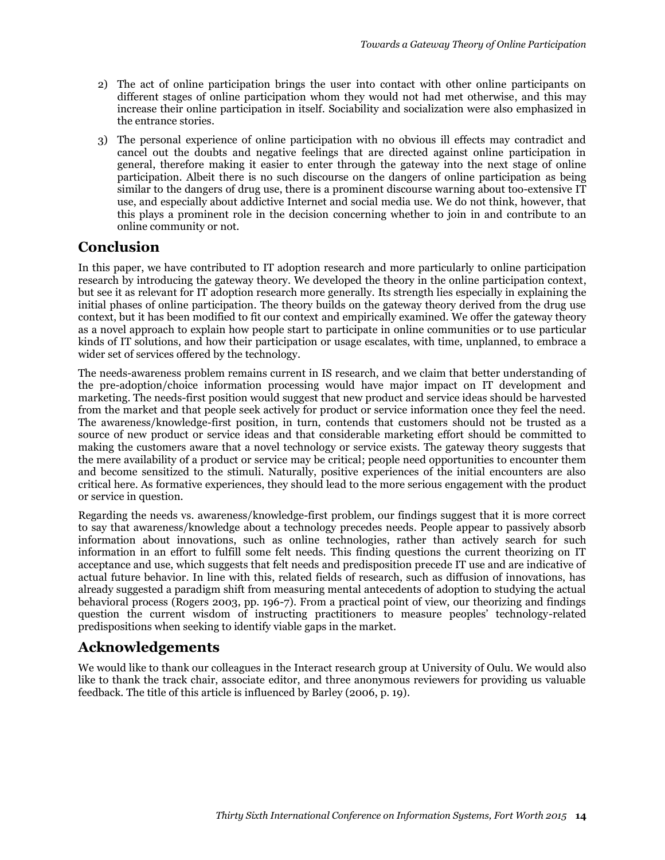- 2) The act of online participation brings the user into contact with other online participants on different stages of online participation whom they would not had met otherwise, and this may increase their online participation in itself. Sociability and socialization were also emphasized in the entrance stories.
- 3) The personal experience of online participation with no obvious ill effects may contradict and cancel out the doubts and negative feelings that are directed against online participation in general, therefore making it easier to enter through the gateway into the next stage of online participation. Albeit there is no such discourse on the dangers of online participation as being similar to the dangers of drug use, there is a prominent discourse warning about too-extensive IT use, and especially about addictive Internet and social media use. We do not think, however, that this plays a prominent role in the decision concerning whether to join in and contribute to an online community or not.

# **Conclusion**

In this paper, we have contributed to IT adoption research and more particularly to online participation research by introducing the gateway theory. We developed the theory in the online participation context, but see it as relevant for IT adoption research more generally. Its strength lies especially in explaining the initial phases of online participation. The theory builds on the gateway theory derived from the drug use context, but it has been modified to fit our context and empirically examined. We offer the gateway theory as a novel approach to explain how people start to participate in online communities or to use particular kinds of IT solutions, and how their participation or usage escalates, with time, unplanned, to embrace a wider set of services offered by the technology.

The needs-awareness problem remains current in IS research, and we claim that better understanding of the pre-adoption/choice information processing would have major impact on IT development and marketing. The needs-first position would suggest that new product and service ideas should be harvested from the market and that people seek actively for product or service information once they feel the need. The awareness/knowledge-first position, in turn, contends that customers should not be trusted as a source of new product or service ideas and that considerable marketing effort should be committed to making the customers aware that a novel technology or service exists. The gateway theory suggests that the mere availability of a product or service may be critical; people need opportunities to encounter them and become sensitized to the stimuli. Naturally, positive experiences of the initial encounters are also critical here. As formative experiences, they should lead to the more serious engagement with the product or service in question.

Regarding the needs vs. awareness/knowledge-first problem, our findings suggest that it is more correct to say that awareness/knowledge about a technology precedes needs. People appear to passively absorb information about innovations, such as online technologies, rather than actively search for such information in an effort to fulfill some felt needs. This finding questions the current theorizing on IT acceptance and use, which suggests that felt needs and predisposition precede IT use and are indicative of actual future behavior. In line with this, related fields of research, such as diffusion of innovations, has already suggested a paradigm shift from measuring mental antecedents of adoption to studying the actual behavioral process (Rogers 2003, pp. 196-7). From a practical point of view, our theorizing and findings question the current wisdom of instructing practitioners to measure peoples' technology-related predispositions when seeking to identify viable gaps in the market.

# **Acknowledgements**

We would like to thank our colleagues in the Interact research group at University of Oulu. We would also like to thank the track chair, associate editor, and three anonymous reviewers for providing us valuable feedback. The title of this article is influenced by Barley (2006, p. 19).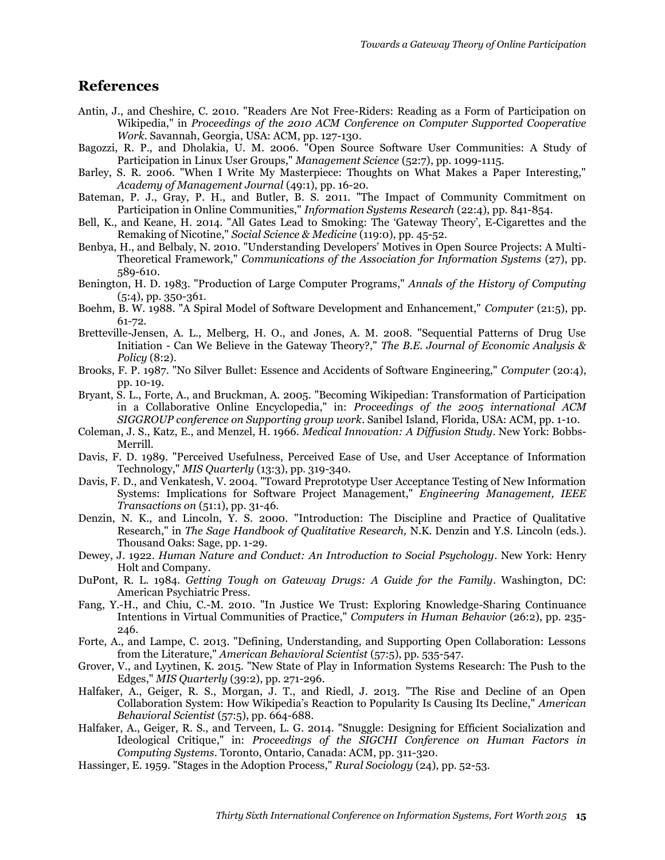## **References**

- Antin, J., and Cheshire, C. 2010. "Readers Are Not Free-Riders: Reading as a Form of Participation on Wikipedia," in *Proceedings of the 2010 ACM Conference on Computer Supported Cooperative Work*. Savannah, Georgia, USA: ACM, pp. 127-130.
- Bagozzi, R. P., and Dholakia, U. M. 2006. "Open Source Software User Communities: A Study of Participation in Linux User Groups," *Management Science* (52:7), pp. 1099-1115.
- Barley, S. R. 2006. "When I Write My Masterpiece: Thoughts on What Makes a Paper Interesting," *Academy of Management Journal* (49:1), pp. 16-20.
- Bateman, P. J., Gray, P. H., and Butler, B. S. 2011. "The Impact of Community Commitment on Participation in Online Communities," *Information Systems Research* (22:4), pp. 841-854.
- Bell, K., and Keane, H. 2014. "All Gates Lead to Smoking: The 'Gateway Theory', E-Cigarettes and the Remaking of Nicotine," *Social Science & Medicine* (119:0), pp. 45-52.
- Benbya, H., and Belbaly, N. 2010. "Understanding Developers' Motives in Open Source Projects: A Multi-Theoretical Framework," *Communications of the Association for Information Systems* (27), pp. 589-610.
- Benington, H. D. 1983. "Production of Large Computer Programs," *Annals of the History of Computing* (5:4), pp. 350-361.
- Boehm, B. W. 1988. "A Spiral Model of Software Development and Enhancement," *Computer* (21:5), pp. 61-72.
- Bretteville-Jensen, A. L., Melberg, H. O., and Jones, A. M. 2008. "Sequential Patterns of Drug Use Initiation - Can We Believe in the Gateway Theory?," *The B.E. Journal of Economic Analysis & Policy* (8:2).
- Brooks, F. P. 1987. "No Silver Bullet: Essence and Accidents of Software Engineering," *Computer* (20:4), pp. 10-19.
- Bryant, S. L., Forte, A., and Bruckman, A. 2005. "Becoming Wikipedian: Transformation of Participation in a Collaborative Online Encyclopedia," in: *Proceedings of the 2005 international ACM SIGGROUP conference on Supporting group work*. Sanibel Island, Florida, USA: ACM, pp. 1-10.
- Coleman, J. S., Katz, E., and Menzel, H. 1966. *Medical Innovation: A Diffusion Study*. New York: Bobbs-Merrill.
- Davis, F. D. 1989. "Perceived Usefulness, Perceived Ease of Use, and User Acceptance of Information Technology," *MIS Quarterly* (13:3), pp. 319-340.
- Davis, F. D., and Venkatesh, V. 2004. "Toward Preprototype User Acceptance Testing of New Information Systems: Implications for Software Project Management," *Engineering Management, IEEE Transactions on* (51:1), pp. 31-46.
- Denzin, N. K., and Lincoln, Y. S. 2000. "Introduction: The Discipline and Practice of Qualitative Research," in *The Sage Handbook of Qualitative Research,* N.K. Denzin and Y.S. Lincoln (eds.). Thousand Oaks: Sage, pp. 1-29.
- Dewey, J. 1922. *Human Nature and Conduct: An Introduction to Social Psychology*. New York: Henry Holt and Company.
- DuPont, R. L. 1984. *Getting Tough on Gateway Drugs: A Guide for the Family*. Washington, DC: American Psychiatric Press.
- Fang, Y.-H., and Chiu, C.-M. 2010. "In Justice We Trust: Exploring Knowledge-Sharing Continuance Intentions in Virtual Communities of Practice," *Computers in Human Behavior* (26:2), pp. 235- 246.
- Forte, A., and Lampe, C. 2013. "Defining, Understanding, and Supporting Open Collaboration: Lessons from the Literature," *American Behavioral Scientist* (57:5), pp. 535-547.
- Grover, V., and Lyytinen, K. 2015. "New State of Play in Information Systems Research: The Push to the Edges," *MIS Quarterly* (39:2), pp. 271-296.
- Halfaker, A., Geiger, R. S., Morgan, J. T., and Riedl, J. 2013. "The Rise and Decline of an Open Collaboration System: How Wikipedia's Reaction to Popularity Is Causing Its Decline," *American Behavioral Scientist* (57:5), pp. 664-688.
- Halfaker, A., Geiger, R. S., and Terveen, L. G. 2014. "Snuggle: Designing for Efficient Socialization and Ideological Critique," in: *Proceedings of the SIGCHI Conference on Human Factors in Computing Systems*. Toronto, Ontario, Canada: ACM, pp. 311-320.
- Hassinger, E. 1959. "Stages in the Adoption Process," *Rural Sociology* (24), pp. 52-53.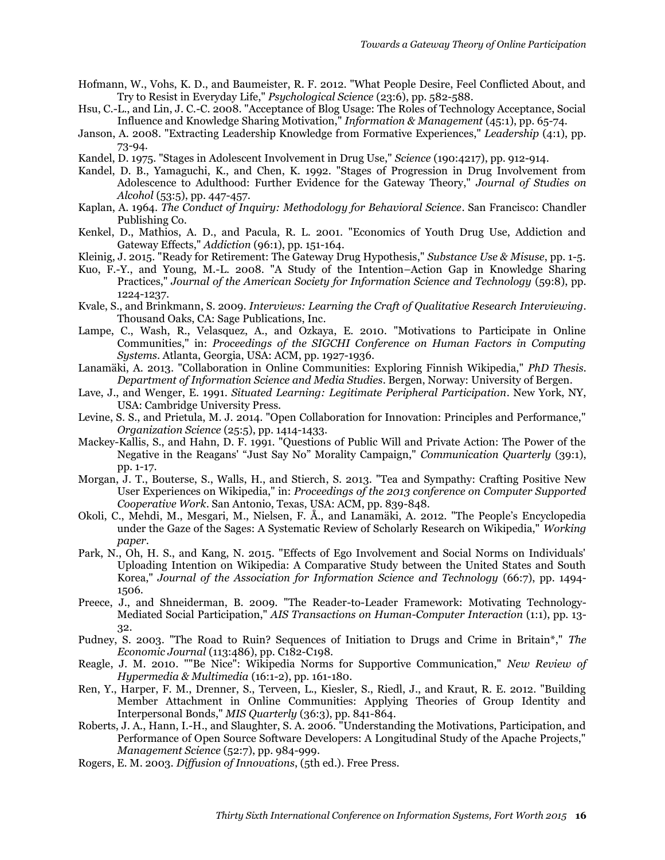- Hofmann, W., Vohs, K. D., and Baumeister, R. F. 2012. "What People Desire, Feel Conflicted About, and Try to Resist in Everyday Life," *Psychological Science* (23:6), pp. 582-588.
- Hsu, C.-L., and Lin, J. C.-C. 2008. "Acceptance of Blog Usage: The Roles of Technology Acceptance, Social Influence and Knowledge Sharing Motivation," *Information & Management* (45:1), pp. 65-74.
- Janson, A. 2008. "Extracting Leadership Knowledge from Formative Experiences," *Leadership* (4:1), pp. 73-94.
- Kandel, D. 1975. "Stages in Adolescent Involvement in Drug Use," *Science* (190:4217), pp. 912-914.
- Kandel, D. B., Yamaguchi, K., and Chen, K. 1992. "Stages of Progression in Drug Involvement from Adolescence to Adulthood: Further Evidence for the Gateway Theory," *Journal of Studies on Alcohol* (53:5), pp. 447-457.
- Kaplan, A. 1964. *The Conduct of Inquiry: Methodology for Behavioral Science*. San Francisco: Chandler Publishing Co.
- Kenkel, D., Mathios, A. D., and Pacula, R. L. 2001. "Economics of Youth Drug Use, Addiction and Gateway Effects," *Addiction* (96:1), pp. 151-164.
- Kleinig, J. 2015. "Ready for Retirement: The Gateway Drug Hypothesis," *Substance Use & Misuse*, pp. 1-5.
- Kuo, F.-Y., and Young, M.-L. 2008. "A Study of the Intention–Action Gap in Knowledge Sharing Practices," *Journal of the American Society for Information Science and Technology* (59:8), pp. 1224-1237.
- Kvale, S., and Brinkmann, S. 2009. *Interviews: Learning the Craft of Qualitative Research Interviewing*. Thousand Oaks, CA: Sage Publications, Inc.
- Lampe, C., Wash, R., Velasquez, A., and Ozkaya, E. 2010. "Motivations to Participate in Online Communities," in: *Proceedings of the SIGCHI Conference on Human Factors in Computing Systems*. Atlanta, Georgia, USA: ACM, pp. 1927-1936.
- Lanamäki, A. 2013. "Collaboration in Online Communities: Exploring Finnish Wikipedia," *PhD Thesis. Department of Information Science and Media Studies*. Bergen, Norway: University of Bergen.
- Lave, J., and Wenger, E. 1991. *Situated Learning: Legitimate Peripheral Participation*. New York, NY, USA: Cambridge University Press.
- Levine, S. S., and Prietula, M. J. 2014. "Open Collaboration for Innovation: Principles and Performance," *Organization Science* (25:5), pp. 1414-1433.
- Mackey-Kallis, S., and Hahn, D. F. 1991. "Questions of Public Will and Private Action: The Power of the Negative in the Reagans' "Just Say No" Morality Campaign," *Communication Quarterly* (39:1), pp. 1-17.
- Morgan, J. T., Bouterse, S., Walls, H., and Stierch, S. 2013. "Tea and Sympathy: Crafting Positive New User Experiences on Wikipedia," in: *Proceedings of the 2013 conference on Computer Supported Cooperative Work*. San Antonio, Texas, USA: ACM, pp. 839-848.
- Okoli, C., Mehdi, M., Mesgari, M., Nielsen, F. Å., and Lanamäki, A. 2012. "The People's Encyclopedia under the Gaze of the Sages: A Systematic Review of Scholarly Research on Wikipedia," *Working paper*.
- Park, N., Oh, H. S., and Kang, N. 2015. "Effects of Ego Involvement and Social Norms on Individuals' Uploading Intention on Wikipedia: A Comparative Study between the United States and South Korea," *Journal of the Association for Information Science and Technology* (66:7), pp. 1494- 1506.
- Preece, J., and Shneiderman, B. 2009. "The Reader-to-Leader Framework: Motivating Technology-Mediated Social Participation," *AIS Transactions on Human-Computer Interaction* (1:1), pp. 13- 32.
- Pudney, S. 2003. "The Road to Ruin? Sequences of Initiation to Drugs and Crime in Britain\*," *The Economic Journal* (113:486), pp. C182-C198.
- Reagle, J. M. 2010. ""Be Nice": Wikipedia Norms for Supportive Communication," *New Review of Hypermedia & Multimedia* (16:1-2), pp. 161-180.
- Ren, Y., Harper, F. M., Drenner, S., Terveen, L., Kiesler, S., Riedl, J., and Kraut, R. E. 2012. "Building Member Attachment in Online Communities: Applying Theories of Group Identity and Interpersonal Bonds," *MIS Quarterly* (36:3), pp. 841-864.
- Roberts, J. A., Hann, I.-H., and Slaughter, S. A. 2006. "Understanding the Motivations, Participation, and Performance of Open Source Software Developers: A Longitudinal Study of the Apache Projects," *Management Science* (52:7), pp. 984-999.
- Rogers, E. M. 2003. *Diffusion of Innovations*, (5th ed.). Free Press.